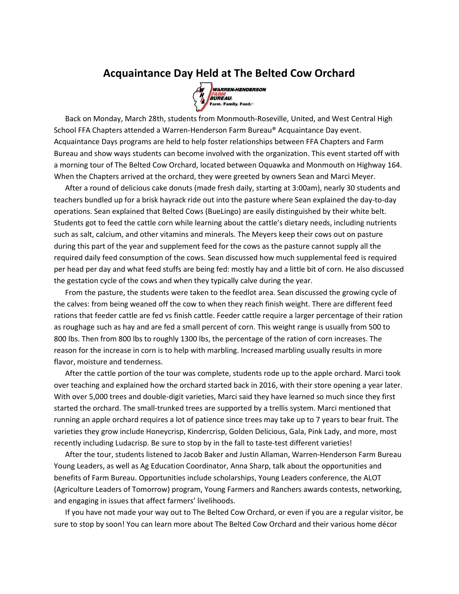## Acquaintance Day Held at The Belted Cow Orchard



 Back on Monday, March 28th, students from Monmouth-Roseville, United, and West Central High School FFA Chapters attended a Warren-Henderson Farm Bureau® Acquaintance Day event. Acquaintance Days programs are held to help foster relationships between FFA Chapters and Farm Bureau and show ways students can become involved with the organization. This event started off with a morning tour of The Belted Cow Orchard, located between Oquawka and Monmouth on Highway 164. When the Chapters arrived at the orchard, they were greeted by owners Sean and Marci Meyer.

 After a round of delicious cake donuts (made fresh daily, starting at 3:00am), nearly 30 students and teachers bundled up for a brisk hayrack ride out into the pasture where Sean explained the day-to-day operations. Sean explained that Belted Cows (BueLingo) are easily distinguished by their white belt. Students got to feed the cattle corn while learning about the cattle's dietary needs, including nutrients such as salt, calcium, and other vitamins and minerals. The Meyers keep their cows out on pasture during this part of the year and supplement feed for the cows as the pasture cannot supply all the required daily feed consumption of the cows. Sean discussed how much supplemental feed is required per head per day and what feed stuffs are being fed: mostly hay and a little bit of corn. He also discussed the gestation cycle of the cows and when they typically calve during the year.

 From the pasture, the students were taken to the feedlot area. Sean discussed the growing cycle of the calves: from being weaned off the cow to when they reach finish weight. There are different feed rations that feeder cattle are fed vs finish cattle. Feeder cattle require a larger percentage of their ration as roughage such as hay and are fed a small percent of corn. This weight range is usually from 500 to 800 lbs. Then from 800 lbs to roughly 1300 lbs, the percentage of the ration of corn increases. The reason for the increase in corn is to help with marbling. Increased marbling usually results in more flavor, moisture and tenderness.

 After the cattle portion of the tour was complete, students rode up to the apple orchard. Marci took over teaching and explained how the orchard started back in 2016, with their store opening a year later. With over 5,000 trees and double-digit varieties, Marci said they have learned so much since they first started the orchard. The small-trunked trees are supported by a trellis system. Marci mentioned that running an apple orchard requires a lot of patience since trees may take up to 7 years to bear fruit. The varieties they grow include Honeycrisp, Kindercrisp, Golden Delicious, Gala, Pink Lady, and more, most recently including Ludacrisp. Be sure to stop by in the fall to taste-test different varieties!

 After the tour, students listened to Jacob Baker and Justin Allaman, Warren-Henderson Farm Bureau Young Leaders, as well as Ag Education Coordinator, Anna Sharp, talk about the opportunities and benefits of Farm Bureau. Opportunities include scholarships, Young Leaders conference, the ALOT (Agriculture Leaders of Tomorrow) program, Young Farmers and Ranchers awards contests, networking, and engaging in issues that affect farmers' livelihoods.

 If you have not made your way out to The Belted Cow Orchard, or even if you are a regular visitor, be sure to stop by soon! You can learn more about The Belted Cow Orchard and their various home décor